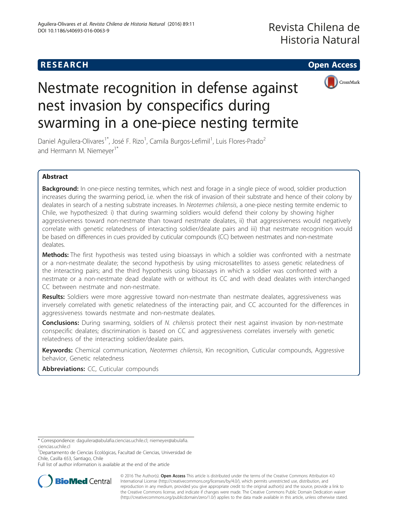# **RESEARCH CHE Open Access**





# Nestmate recognition in defense against nest invasion by conspecifics during swarming in a one-piece nesting termite

Daniel Aguilera-Olivares<sup>1\*</sup>, José F. Rizo<sup>1</sup>, Camila Burgos-Lefimil<sup>1</sup>, Luis Flores-Prado<sup>2</sup> and Hermann M. Niemeyer<sup>1\*</sup>

# Abstract

Background: In one-piece nesting termites, which nest and forage in a single piece of wood, soldier production increases during the swarming period, i.e. when the risk of invasion of their substrate and hence of their colony by dealates in search of a nesting substrate increases. In Neotermes chilensis, a one-piece nesting termite endemic to Chile, we hypothesized: i) that during swarming soldiers would defend their colony by showing higher aggressiveness toward non-nestmate than toward nestmate dealates, ii) that aggressiveness would negatively correlate with genetic relatedness of interacting soldier/dealate pairs and iii) that nestmate recognition would be based on differences in cues provided by cuticular compounds (CC) between nestmates and non-nestmate dealates.

Methods: The first hypothesis was tested using bioassays in which a soldier was confronted with a nestmate or a non-nestmate dealate; the second hypothesis by using microsatellites to assess genetic relatedness of the interacting pairs; and the third hypothesis using bioassays in which a soldier was confronted with a nestmate or a non-nestmate dead dealate with or without its CC and with dead dealates with interchanged CC between nestmate and non-nestmate.

Results: Soldiers were more aggressive toward non-nestmate than nestmate dealates, aggressiveness was inversely correlated with genetic relatedness of the interacting pair, and CC accounted for the differences in aggressiveness towards nestmate and non-nestmate dealates.

**Conclusions:** During swarming, soldiers of N. chilensis protect their nest against invasion by non-nestmate conspecific dealates; discrimination is based on CC and aggressiveness correlates inversely with genetic relatedness of the interacting soldier/dealate pairs.

Keywords: Chemical communication, Neotermes chilensis, Kin recognition, Cuticular compounds, Aggressive behavior, Genetic relatedness

Abbreviations: CC, Cuticular compounds

<sup>1</sup>Departamento de Ciencias Ecológicas, Facultad de Ciencias, Universidad de Chile, Casilla 653, Santiago, Chile

Full list of author information is available at the end of the article



© 2016 The Author(s). Open Access This article is distributed under the terms of the Creative Commons Attribution 4.0 International License [\(http://creativecommons.org/licenses/by/4.0/](http://creativecommons.org/licenses/by/4.0/)), which permits unrestricted use, distribution, and reproduction in any medium, provided you give appropriate credit to the original author(s) and the source, provide a link to the Creative Commons license, and indicate if changes were made. The Creative Commons Public Domain Dedication waiver [\(http://creativecommons.org/publicdomain/zero/1.0/](http://creativecommons.org/publicdomain/zero/1.0/)) applies to the data made available in this article, unless otherwise stated.

<sup>\*</sup> Correspondence: [daguilera@abulafia.ciencias.uchile.cl;](mailto:daguilera@abulafia.ciencias.uchile.cl) [niemeyer@abulafia.](mailto:niemeyer@abulafia.ciencias.uchile.cl) [ciencias.uchile.cl](mailto:niemeyer@abulafia.ciencias.uchile.cl)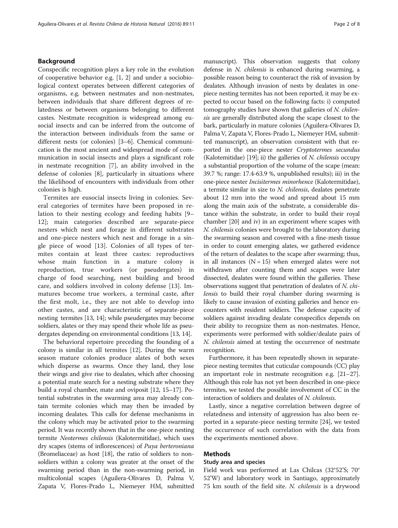# Background

Conspecific recognition plays a key role in the evolution of cooperative behavior e.g. [\[1, 2\]](#page-6-0) and under a sociobiological context operates between different categories of organisms, e.g. between nestmates and non-nestmates, between individuals that share different degrees of relatedness or between organisms belonging to different castes. Nestmate recognition is widespread among eusocial insects and can be inferred from the outcome of the interaction between individuals from the same or different nests (or colonies) [\[3](#page-6-0)–[6\]](#page-6-0). Chemical communication is the most ancient and widespread mode of communication in social insects and plays a significant role in nestmate recognition [\[7\]](#page-6-0), an ability involved in the defense of colonies [[8\]](#page-6-0), particularly in situations where the likelihood of encounters with individuals from other colonies is high.

Termites are eusocial insects living in colonies. Several categories of termites have been proposed in relation to their nesting ecology and feeding habits [[9](#page-6-0)– [12\]](#page-6-0); main categories described are separate-piece nesters which nest and forage in different substrates and one-piece nesters which nest and forage in a single piece of wood [[13](#page-6-0)]. Colonies of all types of termites contain at least three castes: reproductives whose main function in a mature colony is reproduction, true workers (or pseudergates) in charge of food searching, nest building and brood care, and soldiers involved in colony defense [[13\]](#page-6-0). Immatures become true workers, a terminal caste, after the first molt, i.e., they are not able to develop into other castes, and are characteristic of separate-piece nesting termites [\[13](#page-6-0), [14\]](#page-6-0); while pseudergates may become soldiers, alates or they may spend their whole life as pseudergates depending on environmental conditions [\[13, 14](#page-6-0)].

The behavioral repertoire preceding the founding of a colony is similar in all termites [[12](#page-6-0)]. During the warm season mature colonies produce alates of both sexes which disperse as swarms. Once they land, they lose their wings and give rise to dealates, which after choosing a potential mate search for a nesting substrate where they build a royal chamber, mate and oviposit [\[12, 15](#page-6-0)–[17](#page-6-0)]. Potential substrates in the swarming area may already contain termite colonies which may then be invaded by incoming dealates. This calls for defense mechanisms in the colony which may be activated prior to the swarming period. It was recently shown that in the one-piece nesting termite Neotermes chilensis (Kalotermitidae), which uses dry scapes (stems of inflorescences) of Puya berteroniana (Bromeliaceae) as host [[18\]](#page-6-0), the ratio of soldiers to nonsoldiers within a colony was greater at the onset of the swarming period than in the non-swarming period, in multicolonial scapes (Aguilera-Olivares D, Palma V, Zapata V, Flores-Prado L, Niemeyer HM, submitted manuscript). This observation suggests that colony defense in N. chilensis is enhanced during swarming, a possible reason being to counteract the risk of invasion by dealates. Although invasion of nests by dealates in onepiece nesting termites has not been reported, it may be expected to occur based on the following facts: i) computed tomography studies have shown that galleries of N. chilensis are generally distributed along the scape closest to the bark, particularly in mature colonies (Aguilera-Olivares D, Palma V, Zapata V, Flores-Prado L, Niemeyer HM, submitted manuscript), an observation consistent with that reported in the one-piece nester Cryptotermes secundus (Kalotemitidae)  $[19]$ ; ii) the galleries of N. *chilensis* occupy a substantial proportion of the volume of the scape (mean: 39.7 %; range: 17.4-63.9 %, unpublished results); iii) in the one-piece nester Incisitermes minorhence (Kalotermitidae), a termite similar in size to N. chilensis, dealates penetrate about 12 mm into the wood and spread about 15 mm along the main axis of the substrate, a considerable distance within the substrate, in order to build their royal chamber [[20](#page-6-0)] and iv) in an experiment where scapes with N. chilensis colonies were brought to the laboratory during the swarming season and covered with a fine-mesh tissue in order to count emerging alates, we gathered evidence of the return of dealates to the scape after swarming; thus, in all instances  $(N = 15)$  when emerged alates were not withdrawn after counting them and scapes were later dissected, dealates were found within the galleries. These observations suggest that penetration of dealates of N. chilensis to build their royal chamber during swarming is likely to cause invasion of existing galleries and hence encounters with resident soldiers. The defense capacity of soldiers against invading dealate conspecifics depends on their ability to recognize them as non-nestmates. Hence, experiments were performed with soldier/dealate pairs of N. chilensis aimed at testing the occurrence of nestmate recognition.

Furthermore, it has been repeatedly shown in separatepiece nesting termites that cuticular compounds (CC) play an important role in nestmate recognition e.g. [\[21](#page-6-0)–[27](#page-6-0)]. Although this role has not yet been described in one-piece termites, we tested the possible involvement of CC in the interaction of soldiers and dealates of N. chilensis.

Lastly, since a negative correlation between degree of relatedness and intensity of aggression has also been reported in a separate-piece nesting termite [\[24\]](#page-6-0), we tested the occurrence of such correlation with the data from the experiments mentioned above.

# Methods

#### Study area and species

Field work was performed at Las Chilcas (32°52'S; 70° 52'W) and laboratory work in Santiago, approximately 75 km south of the field site. N. chilensis is a drywood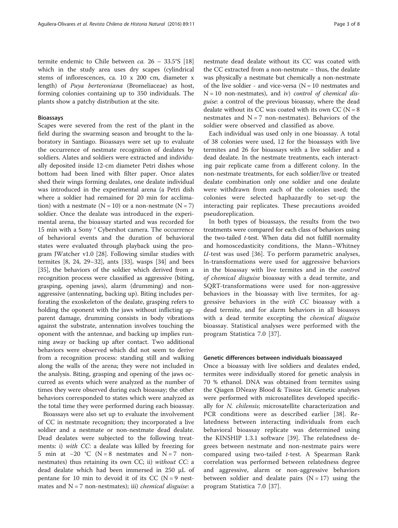termite endemic to Chile between  $ca. 26 - 33.5^{\circ}S$  [[18](#page-6-0)] which in the study area uses dry scapes (cylindrical stems of inflorescences, ca. 10 x 200 cm, diameter x length) of Puya berteroniana (Bromeliaceae) as host, forming colonies containing up to 350 individuals. The plants show a patchy distribution at the site.

## Bioassays

Scapes were severed from the rest of the plant in the field during the swarming season and brought to the laboratory in Santiago. Bioassays were set up to evaluate the occurrence of nestmate recognition of dealates by soldiers. Alates and soldiers were extracted and individually deposited inside 12-cm diameter Petri dishes whose bottom had been lined with filter paper. Once alates shed their wings forming dealates, one dealate individual was introduced in the experimental arena (a Petri dish where a soldier had remained for 20 min for acclimation) with a nestmate  $(N = 10)$  or a non-nestmate  $(N = 7)$ soldier. Once the dealate was introduced in the experimental arena, the bioassay started and was recorded for 15 min with a Sony ® Cybershot camera. The occurrence of behavioral events and the duration of behavioral states were evaluated through playback using the program JWatcher v1.0 [[28\]](#page-6-0). Following similar studies with termites [[8](#page-6-0), [24, 29](#page-6-0)–[32\]](#page-6-0), ants [[33\]](#page-6-0), wasps [\[34\]](#page-6-0) and bees [[35\]](#page-6-0), the behaviors of the soldier which derived from a recognition process were classified as aggressive (biting, grasping, opening jaws), alarm (drumming) and nonaggressive (antennating, backing up). Biting includes perforating the exoskeleton of the dealate, grasping refers to holding the oponent with the jaws without inflicting apparent damage, drumming consists in body vibrations against the substrate, antennation involves touching the oponent with the antennae, and backing up implies running away or backing up after contact. Two additional behaviors were observed which did not seem to derive from a recognition process: standing still and walking along the walls of the arena; they were not included in the analysis. Biting, grasping and opening of the jaws occurred as events which were analyzed as the number of times they were observed during each bioassay; the other behaviors corresponded to states which were analyzed as the total time they were performed during each bioassay.

Bioassays were also set up to evaluate the involvement of CC in nestmate recognition; they incorporated a live soldier and a nestmate or non-nestmate dead dealate. Dead dealates were subjected to the following treatments: i) with CC: a dealate was killed by freezing for 5 min at  $-20$  °C (N = 8 nestmates and N = 7 nonnestmates) thus retaining its own CC; ii) without CC: a dead dealate which had been immersed in 250 μL of pentane for 10 min to devoid it of its  $CC$  (N = 9 nestmates and  $N = 7$  non-nestmates); iii) *chemical disguise*: a

nestmate dead dealate without its CC was coated with the CC extracted from a non-nestmate – thus, the dealate was physically a nestmate but chemically a non-nestmate of the live soldier - and vice-versa  $(N = 10$  nestmates and  $N = 10$  non-nestmates), and iv) control of chemical disguise: a control of the previous bioassay, where the dead dealate without its CC was coated with its own CC ( $N = 8$ ) nestmates and  $N = 7$  non-nestmates). Behaviors of the soldier were observed and classified as above.

Each individual was used only in one bioassay. A total of 38 colonies were used, 12 for the bioassays with live termites and 26 for bioassays with a live soldier and a dead dealate. In the nestmate treatments, each interacting pair replicate came from a different colony. In the non-nestmate treatments, for each soldier/live or treated dealate combination only one soldier and one dealate were withdrawn from each of the colonies used; the colonies were selected haphazardly to set-up the interacting pair replicates. These precautions avoided pseudoreplication.

In both types of bioassays, the results from the two treatments were compared for each class of behaviors using the two-tailed  $t$ -test. When data did not fulfill normality and homoscedasticity conditions, the Mann–Whitney U-test was used [\[36](#page-6-0)]. To perform parametric analyses, ln-transformations were used for aggressive behaviors in the bioassay with live termites and in the control of chemical disguise bioassay with a dead termite, and SQRT-transformations were used for non-aggressive behaviors in the bioassay with live termites, for aggressive behaviors in the with CC bioassay with a dead termite, and for alarm behaviors in all bioassys with a dead termite excepting the chemical disguise bioassay. Statistical analyses were performed with the program Statistica 7.0 [[37](#page-6-0)].

#### Genetic differences between individuals bioassayed

Once a bioassay with live soldiers and dealates ended, termites were individually stored for genetic analysis in 70 % ethanol. DNA was obtained from termites using the Qiagen DNeasy Blood & Tissue kit. Genetic analyses were performed with microsatellites developed specifically for *N. chilensis*; microsatellite characterization and PCR conditions were as described earlier [[38\]](#page-6-0). Relatedness between interacting individuals from each behavioral bioassay replicate was determined using the KINSHIP 1.3.1 software [\[39](#page-6-0)]. The relatedness degrees between nestmate and non-nestmate pairs were compared using two-tailed t-test. A Spearman Rank correlation was performed between relatedness degree and aggressive, alarm or non-aggressive behaviors between soldier and dealate pairs  $(N = 17)$  using the program Statistica 7.0 [[37](#page-6-0)].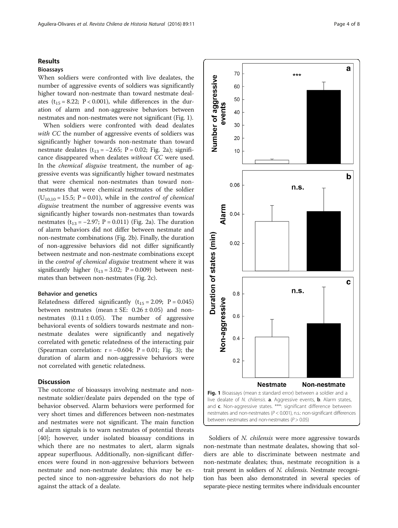## Results

#### Bioassays

When soldiers were confronted with live dealates, the number of aggressive events of soldiers was significantly higher toward non-nestmate than toward nestmate dealates ( $t_{15} = 8.22$ ; P < 0.001), while differences in the duration of alarm and non-aggressive behaviors between nestmates and non-nestmates were not significant (Fig. 1).

When soldiers were confronted with dead dealates with CC the number of aggressive events of soldiers was significantly higher towards non-nestmate than toward nestmate dealates ( $t_{13} = -2.65$ ; P = 0.02; Fig. [2a](#page-4-0)); significance disappeared when dealates without CC were used. In the chemical disguise treatment, the number of aggressive events was significantly higher toward nestmates that were chemical non-nestmates than toward nonnestmates that were chemical nestmates of the soldier  $(U_{10,10} = 15.5; P = 0.01)$ , while in the *control of chemical* disguise treatment the number of aggressive events was significantly higher towards non-nestmates than towards nestmates ( $t_{13}$  = −2.97; P = 0.011) (Fig. [2a\)](#page-4-0). The duration of alarm behaviors did not differ between nestmate and non-nestmate combinations (Fig. [2b\)](#page-4-0). Finally, the duration of non-aggressive behaviors did not differ significantly between nestmate and non-nestmate combinations except in the control of chemical disguise treatment where it was significantly higher  $(t_{13} = 3.02; P = 0.009)$  between nestmates than between non-nestmates (Fig. [2c\)](#page-4-0).

#### Behavior and genetics

Relatedness differed significantly  $(t_{15} = 2.09; P = 0.045)$ between nestmates (mean  $\pm$  SE: 0.26  $\pm$  0.05) and nonnestmates  $(0.11 \pm 0.05)$ . The number of aggressive behavioral events of soldiers towards nestmate and nonnestmate dealates were significantly and negatively correlated with genetic relatedness of the interacting pair (Spearman correlation:  $r = -0.604$ ;  $P = 0.01$ ; Fig. [3\)](#page-5-0); the duration of alarm and non-aggressive behaviors were not correlated with genetic relatedness.

# **Discussion**

The outcome of bioassays involving nestmate and nonnestmate soldier/dealate pairs depended on the type of behavior observed. Alarm behaviors were performed for very short times and differences between non-nestmates and nestmates were not significant. The main function of alarm signals is to warn nestmates of potential threats [[40\]](#page-6-0); however, under isolated bioassay conditions in which there are no nestmates to alert, alarm signals appear superfluous. Additionally, non-significant differences were found in non-aggressive behaviors between nestmate and non-nestmate dealates; this may be expected since to non-aggressive behaviors do not help against the attack of a dealate.



Soldiers of *N. chilensis* were more aggressive towards non-nestmate than nestmate dealates, showing that soldiers are able to discriminate between nestmate and non-nestmate dealates; thus, nestmate recognition is a trait present in soldiers of N. chilensis. Nestmate recognition has been also demonstrated in several species of separate-piece nesting termites where individuals encounter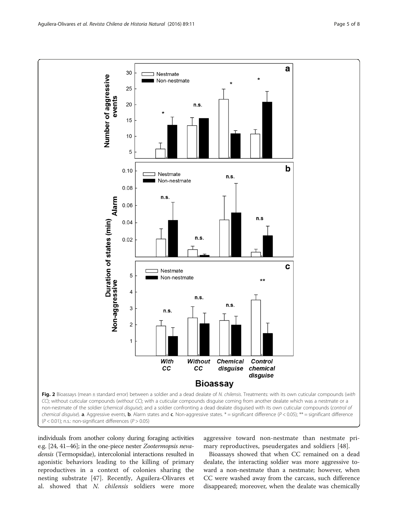<span id="page-4-0"></span>

individuals from another colony during foraging activities e.g. [\[24, 41](#page-6-0)–[46](#page-7-0)]; in the one-piece nester Zootermopsis nevadensis (Termopsidae), intercolonial interactions resulted in agonistic behaviors leading to the killing of primary reproductives in a context of colonies sharing the nesting substrate [\[47](#page-7-0)]. Recently, Aguilera-Olivares et al. showed that N. chilensis soldiers were more

aggressive toward non-nestmate than nestmate primary reproductives, pseudergates and soldiers [\[48](#page-7-0)].

Bioassays showed that when CC remained on a dead dealate, the interacting soldier was more aggressive toward a non-nestmate than a nestmate; however, when CC were washed away from the carcass, such difference disappeared; moreover, when the dealate was chemically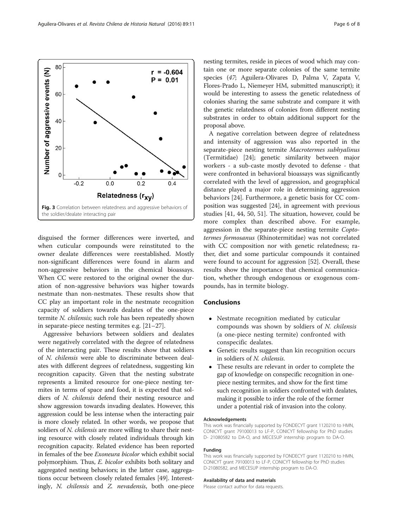<span id="page-5-0"></span>Aguilera-Olivares et al. Revista Chilena de Historia Natural (2016) 89:11 Page 6 of 8



disguised the former differences were inverted, and when cuticular compounds were reinstituted to the owner dealate differences were reestablished. Mostly non-significant differences were found in alarm and non-aggressive behaviors in the chemical bioassays. When CC were restored to the original owner the duration of non-aggressive behaviors was higher towards nestmate than non-nestmates. These results show that CC play an important role in the nestmate recognition capacity of soldiers towards dealates of the one-piece termite N. chilensis; such role has been repeatedly shown in separate-piece nesting termites e.g. [[21](#page-6-0)–[27](#page-6-0)].

Aggressive behaviors between soldiers and dealates were negatively correlated with the degree of relatedness of the interacting pair. These results show that soldiers of N. chilensis were able to discriminate between dealates with different degrees of relatedness, suggesting kin recognition capacity. Given that the nesting substrate represents a limited resource for one-piece nesting termites in terms of space and food, it is expected that soldiers of N. chilensis defend their nesting resource and show aggression towards invading dealates. However, this aggression could be less intense when the interacting pair is more closely related. In other words, we propose that soldiers of *N. chilensis* are more willing to share their nesting resource with closely related individuals through kin recognition capacity. Related evidence has been reported in females of the bee Exoneura bicolor which exhibit social polymorphism. Thus, E. bicolor exhibits both solitary and aggregated nesting behaviors; in the latter case, aggregations occur between closely related females [[49](#page-7-0)]. Interestingly, N. chilensis and Z. nevadensis, both one-piece

nesting termites, reside in pieces of wood which may contain one or more separate colonies of the same termite species (47; Aguilera-Olivares D, Palma V, Zapata V, Flores-Prado L, Niemeyer HM, submitted manuscript); it would be interesting to assess the genetic relatedness of colonies sharing the same substrate and compare it with the genetic relatedness of colonies from different nesting substrates in order to obtain additional support for the proposal above.

A negative correlation between degree of relatedness and intensity of aggression was also reported in the separate-piece nesting termite Macrotermes subhyalinus (Termitidae) [\[24](#page-6-0)]; genetic similarity between major workers - a sub-caste mostly devoted to defense - that were confronted in behavioral bioassays was significantly correlated with the level of aggression, and geographical distance played a major role in determining aggression behaviors [[24](#page-6-0)]. Furthermore, a genetic basis for CC composition was suggested [\[24\]](#page-6-0), in agreement with previous studies [\[41](#page-6-0), [44, 50, 51](#page-7-0)]. The situation, however, could be more complex than described above. For example, aggression in the separate-piece nesting termite Coptotermes formosanus (Rhinotermitidae) was not correlated with CC composition nor with genetic relatedness; rather, diet and some particular compounds it contained were found to account for aggression [\[52](#page-7-0)]. Overall, these results show the importance that chemical communication, whether through endogenous or exogenous compounds, has in termite biology.

# Conclusions

- Nestmate recognition mediated by cuticular compounds was shown by soldiers of N. chilensis (a one-piece nesting termite) confronted with conspecific dealates.
- Genetic results suggest than kin recognition occurs in soldiers of N. chilensis.
- These results are relevant in order to complete the gap of knowledge on conspecific recognition in onepiece nesting termites, and show for the first time such recognition in soldiers confronted with dealates, making it possible to infer the role of the former under a potential risk of invasion into the colony.

#### Acknowledgements

This work was financially supported by FONDECYT grant 1120210 to HMN, CONICYT grant 79100013 to LF-P, CONICYT fellowship for PhD studies D- 21080582 to DA-O, and MECESUP internship program to DA-O.

#### Funding

This work was financially supported by FONDECYT grant 1120210 to HMN, CONICYT grant 79100013 to LF-P, CONICYT fellowship for PhD studies D-21080582, and MECESUP internship program to DA-O.

# Availability of data and materials

Please contact author for data requests.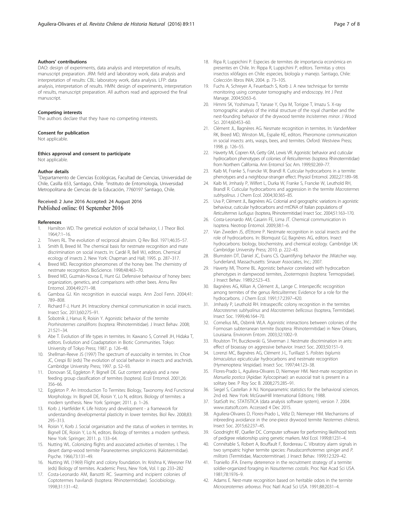#### <span id="page-6-0"></span>Authors' contributions

DAO: design of experiments, data analysis and interpretation of results, manuscript preparation. JRM: field and laboratory work, data analysis and interpretation of results: CBL: laboratory work, data analysis. LFP: data analysis, interpretation of results. HMN: design of experiments, interpretation of results, manuscript preparation. All authors read and approved the final manuscript.

#### Competing interests

The authors declare that they have no competing interests.

## Consent for publication

Not applicable.

Ethics approval and consent to participate

# Not applicable.

#### Author details

<sup>1</sup>Departamento de Ciencias Ecológicas, Facultad de Ciencias, Universidad de Chile, Casilla 653, Santiago, Chile. <sup>2</sup>Instituto de Entomología, Universidad Metropolitana de Ciencias de la Educación, 7760197 Santiago, Chile.

#### Received: 2 June 2016 Accepted: 24 August 2016 Published online: 01 September 2016

#### References

- 1. Hamilton WD. The genetical evolution of social behavior, I. J Theor Biol. 1964;7:1–16.
- 2. Trivers RL. The evolution of reciprocal altruism. Q Rev Biol. 1971;46:35–57.
- 3. Smith B, Breed M. The chemical basis for nestmate recognition and mate discrimination on social insects. In: Cardé R, Bell WJ, editors. Chemical ecology of insects 2. New York: Chapman and Hall; 1995. p. 287–317.
- 4. Breed MD. Recognition pheromones of the honey bee. The chemistry of nestmate recognition. BioScience. 1998;48:463–70.
- 5. Breed MD, Guzmán-Novoa E, Hunt GJ. Defensive behaviour of honey bees: organization, genetics, and comparisons with other bees. Annu Rev Entomol. 2004;49:271–98.
- 6. Gamboa GJ. Kin recognition in eusocial wasps. Ann Zool Fenn. 2004;41: 789–808.
- 7. Richard F-J, Hunt JH. Intracolony chemical communication in social insects. Insect Soc. 2013;60:275–91.
- 8. Šobotník J, Hanus R, Roisin Y. Agonistic behavior of the termite Prorhinotermes canalifrons (Isoptera: Rhinotermitidae). J Insect Behav. 2008; 21:521–34.
- Abe T. Evolution of life types in termites. In: Kawano S, Connell JH, Hidaka T, editors. Evolution and Coadaptation in Biotic Communities. Tokyo: University of Tokyo Press; 1987. p. 126–48.
- 10. Shellman-Reeve JS (1997) The spectrum of eusociality in termites. In: Choe JC, Crespi BJ (eds) The evolution of social behavior in insects and arachnids. Cambridge University Press; 1997. p. 52–93.
- 11. Donovan SE, Eggleton P, Bignell DE. Gut content analysis and a new feeding group classification of termites (Isoptera). Ecol Entomol. 2001;26: 356–66.
- 12. Eggleton P. An Introduction To Termites: Biology, Taxonomy And Functional Morphology. In: Bignell DE, Roisin Y, Lo N, editors. Biology of termites: a modern synthesis. New York: Springer; 2011. p. 1–26.
- 13. Korb J, Hartfelder K. Life history and development a framework for understanding developmental plasticity in lower termites. Biol Rev. 2008;83: 295–313.
- 14. Roisin Y, Korb J. Social organisation and the status of workers in termites. In: Bignell DE, Roisin Y, Lo N, editors. Biology of termites: a modern synthesis. New York: Springer; 2011. p. 133–64.
- 15. Nutting WL. Colonizing flights and associated activities of termites. I. The desert damp-wood termite Paraneotermes simplicicornis (Kalotermitidae). Psyche. 1966;73:131–49.
- 16. Nutting WL (1969) Flight and colony foundation. In: Krishna K, Weesner FM (eds) Biology of termites. Academic Press, New York, Vol. I: pp 233–282
- 17. Costa-Leonardo AM, Barsotti RC. Swarming and incipient colonies of Coptotermes havilandi (Isoptera: Rhinotermitidae). Sociobiology. 1998;31:131–42.
- 18. Ripa R, Luppichini P. Especies de termites de importancia económica en presentes en Chile. In: Rippa R, Luppichini P, editors. Termitas y otros insectos xilófagos en Chile: especies, biología y manejo. Santiago, Chile: Colección libros INIA; 2004. p. 73–105.
- 19. Fuchs A, Schreyer A, Feuerbach S, Korb J. A new technique for termite monitoring using computer tomography and endoscopy. Int J Pest Manage. 2004;50:63–6.
- 20. Himmi SK, Yoshimura T, Yanase Y, Oya M, Torigoe T, Imazu S. X-ray tomographic analysis of the initial structure of the royal chamber and the nest-founding behavior of the drywood termite Incisitermes minor. J Wood Sci. 2014;60:453–60.
- 21. Clément JL, Bagnères AG. Nesmate recognition in termites. In: VanderMeer RK, Breed MD, Winston ML, Espalie KE, editors. Pheromone communication in social insects: ants, wasps, bees, and termites. Oxford: Westview Press; 1998. p. 126–55.
- 22. Haverty MI, Copren KA, Getty GM, Lewis VR. Agonistic behavior and cuticular hydrocarbon phenotypes of colonies of Reticulitermes (Isoptera: Rhinotermitidae) from Northern California. Ann Entomol Soc Am. 1999;92:269–77.
- 23. Kaib M, Franke S, Francke W, Brandl R. Cuticular hydrocarbons in a termite: phenotypes and a neighbour-stranger effect. Physiol Entomol. 2002;27:189–98.
- Kaib M, Jmhasly P, Wilfert L, Durka W, Franke S, Francke W, Leuthold RH, Brandl R. Cuticular hydrocarbons and aggression in the termite Macrotermes subhyalinus. J Chem Ecol. 2004;30:365–85.
- 25. Uva P, Clément JL, Bagnères AG. Colonial and geographic variations in agonistic behaviour, cuticular hydrocarbons and mtDNA of Italian populations of Reticulitermes lucifugus (Isoptera, Rhinotermitidae) Insect Soc. 2004;51:163–170.
- 26. Costa-Leonardo AM, Casarin FE, Lima JT. Chemical communication in Isoptera. Neotrop Entomol. 2009;38:1–6.
- 27. Van Zweden JS, d'Ettorre P. Nestmate recognition in social insects and the role of hydrocarbons. In: Blomquist GJ, Bagnères AG, editors. Insect hydrocarbons: biology, biochemistry, and chemical ecology. Cambridge UK: Cambridge University Press; 2010. p. 222–43.
- 28. Blumstein DT, Daniel JC, Evans CS. Quantifying behavior the JWatcher way. Sunderland, Massachusetts: Sinauer Associates, Inc.; 2007.
- 29. Haverty MI, Thorne BL. Agonistic behavior correlated with hydrocarbon phenotypes in dampwood termites, Zootermopsis (Isoptera: Termopsidae). J Insect Behav. 1989;2:523–43.
- 30. Bagnères AG, Killian A, Clément JL, Lange C. Interspecific recognition among termites of the genus Reticulitermes: Evidence for a role for the hydrocarbons. J Chem Ecol. 1991;17:2397–420.
- 31. Jmhasly P, Leuthold RH. Intraspecific colony recognition in the termites Macrotesmes subhyalinus and Macrotermes bellicosus (Isoptera, Termitidae). Insect Soc. 1999;46:164–70.
- 32. Cornelius ML, Osbrink WLA. Agonistic interactions between colonies of the Formosan subterranean termite (Isoptera: Rhinotermitidae) in New Orleans, Louisiana. Environm Entom. 2003;32:1002–9.
- 33. Roulston TH, Buczkowski G, Silverman J. Nestmate discrimination in ants: effect of bioassay on aggressive behavior. Insect Soc. 2003;50:151–9.
- 34. Lorenzi MC, Bagnères AG, Clément J-L, Turillazzi S. Polistes biglumis bimaculatus epicuticular hydrocarbons and nestmate recognition (Hymenoptera: Vespidae). Insect Soc. 1997;44:123–38.
- 35. Flores-Prado L, Aguilera-Olivares D, Niemeyer HM. Nest-mate recognition in Manuelia postica (Apidae: Xylocopinae): an eusocial trait is present in a solitary bee. P Roy Soc B. 2008;275:285–91.
- 36. Siegel S, Castellan Jr NJ. Nonparametric statistics for the behavioral sciences. 2nd ed. New York: McGrawHill International Editions; 1988.
- 37. StatSoft Inc. STATISTICA (data analysis software system), version 7. 2004. [www.statsoft.com.](http://www.statsoft.com) Accessed 4 Dec 2015.
- 38. Aguilera-Olivares D, Flores-Prado L, Véliz D, Niemeyer HM. Mechanisms of inbreeding avoidance in the one-piece drywood termite Neotermes chilensis. Insect Soc. 2015;62:237–45.
- 39. Goodnight KF, Queller DC. Computer software for performing likelihood tests of pedigree relationship using genetic markers. Mol Ecol. 1999;8:1231–4.
- 40. Connétable S, Robert A, Bouffault F, Bordereau C. Vibratory alarm signals in two sympatric higher termite species: Pseudacanthotermes spiniger and P. militaris (Termitidae, Macrotermitinae). J Insect Behav. 1999;12:329–42.
- 41. Traniello JFA. Enemy deterrence in the recruitment strategy of a termite: soldier-organized foraging in Nasutitermes costalis. Proc Nat Acad Sci USA. 1981;78:1976–9.
- 42. Adams E. Nest-mate recognition based on heritable odors in the termite Microcerotermes arboreus. Proc Natl Acad Sci USA. 1991;88:2031–4.